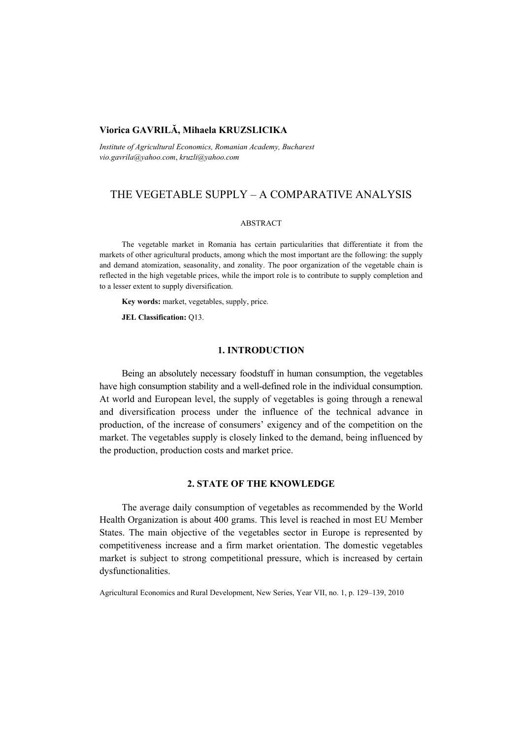# **Viorica GAVRILĂ, Mihaela KRUZSLICIKA**

*Institute of Agricultural Economics, Romanian Academy, Bucharest vio.gavrila@yahoo.com*, *kruzli@yahoo.com* 

# THE VEGETABLE SUPPLY – A COMPARATIVE ANALYSIS

#### ABSTRACT

The vegetable market in Romania has certain particularities that differentiate it from the markets of other agricultural products, among which the most important are the following: the supply and demand atomization, seasonality, and zonality. The poor organization of the vegetable chain is reflected in the high vegetable prices, while the import role is to contribute to supply completion and to a lesser extent to supply diversification.

**Key words:** market, vegetables, supply, price.

**JEL Classification:** Q13.

# **1. INTRODUCTION**

Being an absolutely necessary foodstuff in human consumption, the vegetables have high consumption stability and a well-defined role in the individual consumption. At world and European level, the supply of vegetables is going through a renewal and diversification process under the influence of the technical advance in production, of the increase of consumers' exigency and of the competition on the market. The vegetables supply is closely linked to the demand, being influenced by the production, production costs and market price.

## **2. STATE OF THE KNOWLEDGE**

The average daily consumption of vegetables as recommended by the World Health Organization is about 400 grams. This level is reached in most EU Member States. The main objective of the vegetables sector in Europe is represented by competitiveness increase and a firm market orientation. The domestic vegetables market is subject to strong competitional pressure, which is increased by certain dysfunctionalities.

Agricultural Economics and Rural Development, New Series, Year VII, no. 1, p. 129–139, 2010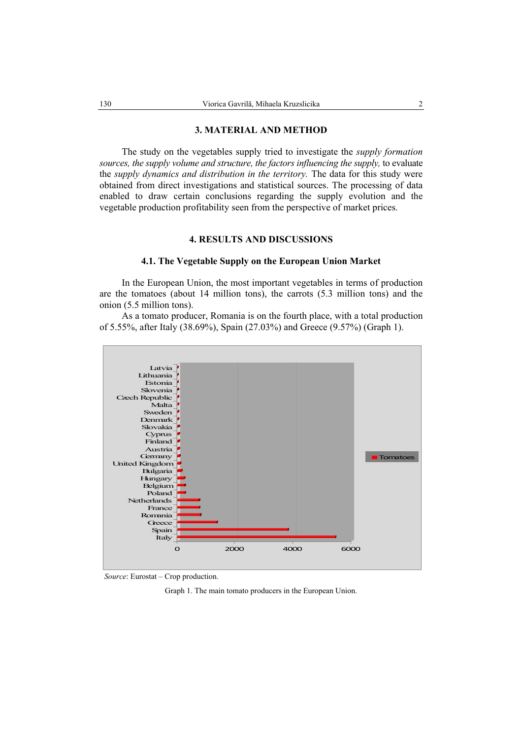#### **3. MATERIAL AND METHOD**

The study on the vegetables supply tried to investigate the *supply formation sources, the supply volume and structure, the factors influencing the supply,* to evaluate the *supply dynamics and distribution in the territory.* The data for this study were obtained from direct investigations and statistical sources. The processing of data enabled to draw certain conclusions regarding the supply evolution and the vegetable production profitability seen from the perspective of market prices.

# **4. RESULTS AND DISCUSSIONS**

#### **4.1. The Vegetable Supply on the European Union Market**

In the European Union, the most important vegetables in terms of production are the tomatoes (about 14 million tons), the carrots (5.3 million tons) and the onion (5.5 million tons).

As a tomato producer, Romania is on the fourth place, with a total production of 5.55%, after Italy (38.69%), Spain (27.03%) and Greece (9.57%) (Graph 1).



*Source*: Eurostat – Crop production.

Graph 1. The main tomato producers in the European Union.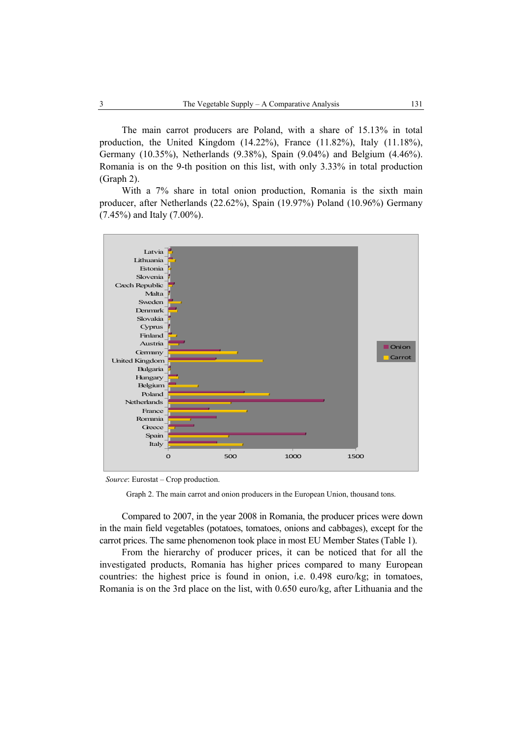The main carrot producers are Poland, with a share of 15.13% in total production, the United Kingdom (14.22%), France (11.82%), Italy (11.18%), Germany (10.35%), Netherlands (9.38%), Spain (9.04%) and Belgium (4.46%). Romania is on the 9-th position on this list, with only 3.33% in total production (Graph 2).

With a 7% share in total onion production, Romania is the sixth main producer, after Netherlands (22.62%), Spain (19.97%) Poland (10.96%) Germany (7.45%) and Italy (7.00%).



*Source*: Eurostat – Crop production.

Graph 2. The main carrot and onion producers in the European Union, thousand tons.

Compared to 2007, in the year 2008 in Romania, the producer prices were down in the main field vegetables (potatoes, tomatoes, onions and cabbages), except for the carrot prices. The same phenomenon took place in most EU Member States (Table 1).

From the hierarchy of producer prices, it can be noticed that for all the investigated products, Romania has higher prices compared to many European countries: the highest price is found in onion, i.e. 0.498 euro/kg; in tomatoes, Romania is on the 3rd place on the list, with 0.650 euro/kg, after Lithuania and the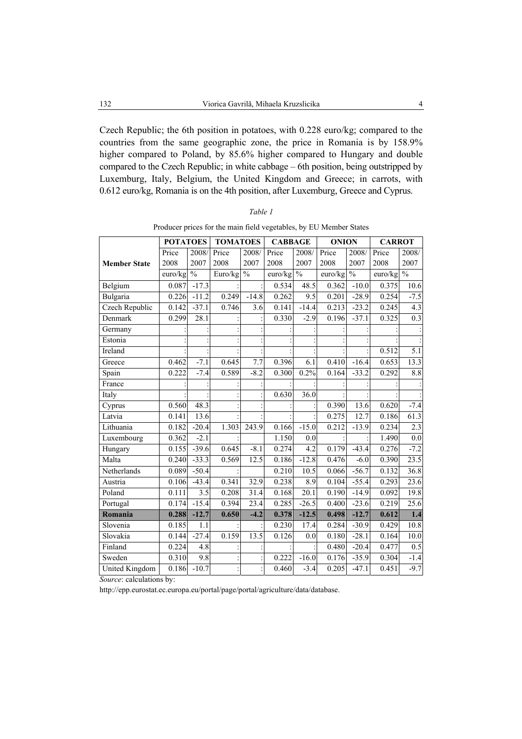Czech Republic; the 6th position in potatoes, with 0.228 euro/kg; compared to the countries from the same geographic zone, the price in Romania is by 158.9% higher compared to Poland, by 85.6% higher compared to Hungary and double compared to the Czech Republic; in white cabbage – 6th position, being outstripped by Luxemburg, Italy, Belgium, the United Kingdom and Greece; in carrots, with 0.612 euro/kg, Romania is on the 4th position, after Luxemburg, Greece and Cyprus.

|                     | <b>POTATOES</b> |                          | <b>TOMATOES</b> |                          | <b>CABBAGE</b> |                          | <b>ONION</b> |                          | <b>CARROT</b> |                          |
|---------------------|-----------------|--------------------------|-----------------|--------------------------|----------------|--------------------------|--------------|--------------------------|---------------|--------------------------|
|                     | Price           | 2008/                    | Price           | 2008/                    | Price          | 2008/                    | Price        | 2008/                    | Price         | 2008/                    |
| <b>Member State</b> | 2008            | 2007                     | 2008            | 2007                     | 2008           | 2007                     | 2008         | 2007                     | 2008          | 2007                     |
|                     | euro/kg         | $\overline{\frac{0}{0}}$ | Euro/kg         | $\overline{\frac{0}{0}}$ | euro/kg        | $\overline{\frac{0}{0}}$ | euro/kg      | $\overline{\frac{0}{0}}$ | euro/kg       | $\overline{\frac{0}{0}}$ |
| Belgium             | 0.087           | $-17.3$                  |                 |                          | 0.534          | 48.5                     | 0.362        | $-10.0$                  | 0.375         | 10.6                     |
| Bulgaria            | 0.226           | $-11.2$                  | 0.249           | $-14.8$                  | 0.262          | 9.5                      | 0.201        | $-28.9$                  | 0.254         | $-7.5$                   |
| Czech Republic      | 0.142           | $-37.1$                  | 0.746           | $\overline{3.6}$         | 0.141          | $-14.4$                  | 0.213        | $-23.2$                  | 0.245         | $\overline{4.3}$         |
| Denmark             | 0.299           | 28.1                     |                 |                          | 0.330          | $-2.9$                   | 0.196        | $-37.1$                  | 0.325         | 0.3                      |
| Germany             |                 |                          |                 |                          |                |                          |              |                          |               |                          |
| Estonia             |                 |                          |                 |                          |                |                          |              |                          |               |                          |
| Ireland             |                 |                          |                 |                          |                |                          |              |                          | 0.512         | $\overline{5.1}$         |
| Greece              | 0.462           | $-7.1$                   | 0.645           | 7.7                      | 0.396          | 6.1                      | 0.410        | $-16.4$                  | 0.653         | 13.3                     |
| Spain               | 0.222           | $-7.4$                   | 0.589           | $-8.2$                   | 0.300          | 0.2%                     | 0.164        | $-33.2$                  | 0.292         | 8.8                      |
| France              |                 |                          |                 |                          |                |                          |              |                          |               |                          |
| Italy               |                 |                          |                 |                          | 0.630          | $\overline{36.0}$        |              |                          |               |                          |
| Cyprus              | 0.560           | 48.3                     |                 |                          |                |                          | 0.390        | 13.6                     | 0.620         | $-7.4$                   |
| Latvia              | 0.141           | 13.6                     |                 |                          |                |                          | 0.275        | 12.7                     | 0.186         | 61.3                     |
| Lithuania           | 0.182           | $-20.4$                  | 1.303           | 243.9                    | 0.166          | $-15.0$                  | 0.212        | $-13.9$                  | 0.234         | 2.3                      |
| Luxembourg          | 0.362           | $-2.1$                   |                 |                          | 1.150          | 0.0                      |              |                          | 1.490         | 0.0                      |
| Hungary             | 0.155           | $-39.6$                  | 0.645           | $-8.1$                   | 0.274          | 4.2                      | 0.179        | $-43.4$                  | 0.276         | $-7.2$                   |
| Malta               | 0.240           | $-33.3$                  | 0.569           | 12.5                     | 0.186          | $-12.8$                  | 0.476        | $-6.0$                   | 0.390         | 23.5                     |
| Netherlands         | 0.089           | $-50.4$                  |                 |                          | 0.210          | 10.5                     | 0.066        | $-56.7$                  | 0.132         | 36.8                     |
| Austria             | 0.106           | $-43.4$                  | 0.341           | 32.9                     | 0.238          | 8.9                      | 0.104        | $-55.4$                  | 0.293         | 23.6                     |
| Poland              | 0.111           | 3.5                      | 0.208           | 31.4                     | 0.168          | 20.1                     | 0.190        | $-14.9$                  | 0.092         | 19.8                     |
| Portugal            | 0.174           | $-15.4$                  | 0.394           | 23.4                     | 0.285          | $-26.5$                  | 0.400        | $-23.6$                  | 0.219         | 25.6                     |
| Romania             | 0.288           | $-12.7$                  | 0.650           | $-4.2$                   | 0.378          | $-12.5$                  | 0.498        | $-12.7$                  | 0.612         | 1.4                      |
| Slovenia            | 0.185           | 1.1                      |                 |                          | 0.230          | 17.4                     | 0.284        | $-30.9$                  | 0.429         | 10.8                     |
| Slovakia            | 0.144           | $-27.4$                  | 0.159           | 13.5                     | 0.126          | 0.0                      | 0.180        | $-28.1$                  | 0.164         | 10.0                     |
| Finland             | 0.224           | 4.8                      |                 |                          |                |                          | 0.480        | $-20.4$                  | 0.477         | 0.5                      |
| Sweden              | 0.310           | 9.8                      |                 |                          | 0.222          | $-16.0$                  | 0.176        | $-35.9$                  | 0.304         | $-1.4$                   |
| United Kingdom      | 0.186           | $-10.7$                  |                 |                          | 0.460          | $-3.4$                   | 0.205        | $-47.1$                  | 0.451         | $-9.7$                   |

| ۰,<br>٦ |  |
|---------|--|
|---------|--|

Producer prices for the main field vegetables, by EU Member States

*Source*: calculations by:

http://epp.eurostat.ec.europa.eu/portal/page/portal/agriculture/data/database.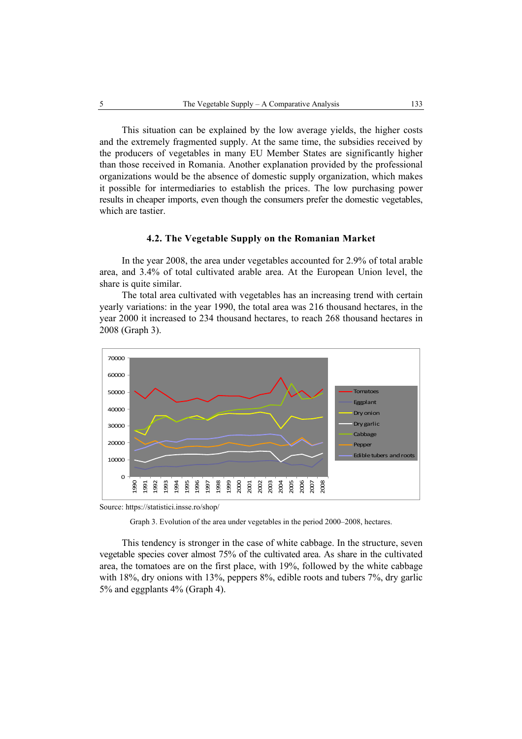This situation can be explained by the low average yields, the higher costs and the extremely fragmented supply. At the same time, the subsidies received by the producers of vegetables in many EU Member States are significantly higher than those received in Romania. Another explanation provided by the professional organizations would be the absence of domestic supply organization, which makes it possible for intermediaries to establish the prices. The low purchasing power results in cheaper imports, even though the consumers prefer the domestic vegetables, which are tastier.

# **4.2. The Vegetable Supply on the Romanian Market**

In the year 2008, the area under vegetables accounted for 2.9% of total arable area, and 3.4% of total cultivated arable area. At the European Union level, the share is quite similar.

The total area cultivated with vegetables has an increasing trend with certain yearly variations: in the year 1990, the total area was 216 thousand hectares, in the year 2000 it increased to 234 thousand hectares, to reach 268 thousand hectares in 2008 (Graph 3).



Source: https://statistici.insse.ro/shop/

This tendency is stronger in the case of white cabbage. In the structure, seven vegetable species cover almost 75% of the cultivated area. As share in the cultivated area, the tomatoes are on the first place, with 19%, followed by the white cabbage with 18%, dry onions with 13%, peppers 8%, edible roots and tubers 7%, dry garlic 5% and eggplants 4% (Graph 4).

Graph 3. Evolution of the area under vegetables in the period 2000–2008, hectares.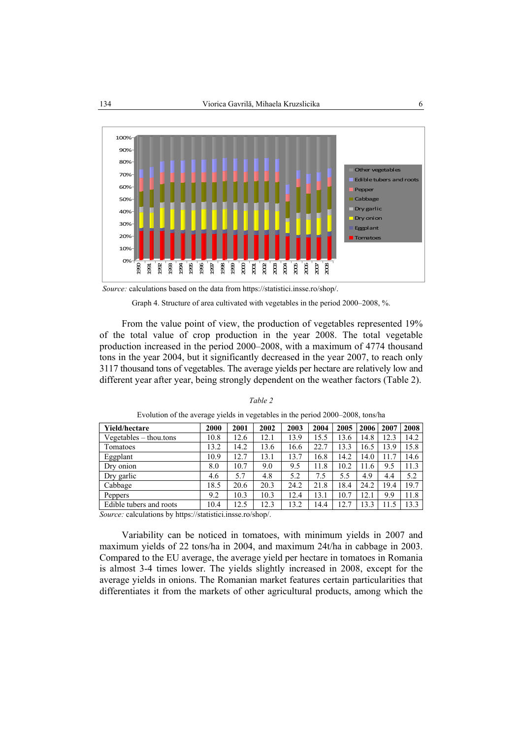

*Source:* calculations based on the data from https://statistici.insse.ro/shop/.

Graph 4. Structure of area cultivated with vegetables in the period 2000–2008, %.

From the value point of view, the production of vegetables represented 19% of the total value of crop production in the year 2008. The total vegetable production increased in the period 2000–2008, with a maximum of 4774 thousand tons in the year 2004, but it significantly decreased in the year 2007, to reach only 3117 thousand tons of vegetables. The average yields per hectare are relatively low and different year after year, being strongly dependent on the weather factors (Table 2).

| <b>Yield/hectare</b>                                                                                                             | 2000 | 2001 | 2002       | 2003 | 2004 | 2005 | 2006 | 2007 | 2008 |
|----------------------------------------------------------------------------------------------------------------------------------|------|------|------------|------|------|------|------|------|------|
| $Vegetables - thou.$ tons                                                                                                        | 10.8 | 12.6 | 12.1       | 13.9 | 15.5 | 13.6 | 14.8 | 12.3 | 14.2 |
| Tomatoes                                                                                                                         | 13.2 | 14.2 | 13.6       | 16.6 | 22.7 | 13.3 | 16.5 | 13.9 | 15.8 |
| Eggplant                                                                                                                         | 10.9 | 12.7 | 13.1       | 13.7 | 16.8 | 14.2 | 14.0 | 11.7 | 14.6 |
| Dry onion                                                                                                                        | 8.0  | 10.7 | 9.0        | 9.5  | 11.8 | 10.2 | 11.6 | 9.5  | 11.3 |
| Dry garlic                                                                                                                       | 4.6  | 5.7  | 4.8        | 5.2  | 7.5  | 5.5  | 4.9  | 4.4  | 5.2  |
| Cabbage                                                                                                                          | 18.5 | 20.6 | 20.3       | 24.2 | 21.8 | 18.4 | 24.2 | 19.4 | 19.7 |
| Peppers                                                                                                                          | 9.2  | 10.3 | 10.3       | 12.4 | 13.1 | 10.7 | 12.1 | 9.9  | 11.8 |
| Edible tubers and roots                                                                                                          | 10.4 | 12.5 | 12.3       | 13.2 | 14.4 | 12.7 | 13.3 | 11.5 | 13.3 |
| the contract of the contract of the contract of the contract of the contract of the contract of the contract of<br>$\sim$ $\sim$ |      |      | $\sqrt{1}$ |      |      |      |      |      |      |

*Table 2*  Evolution of the average yields in vegetables in the period 2000–2008, tons/ha

*Source:* calculations by https://statistici.insse.ro/shop/.

Variability can be noticed in tomatoes, with minimum yields in 2007 and maximum yields of 22 tons/ha in 2004, and maximum 24t/ha in cabbage in 2003. Compared to the EU average, the average yield per hectare in tomatoes in Romania is almost 3-4 times lower. The yields slightly increased in 2008, except for the average yields in onions. The Romanian market features certain particularities that differentiates it from the markets of other agricultural products, among which the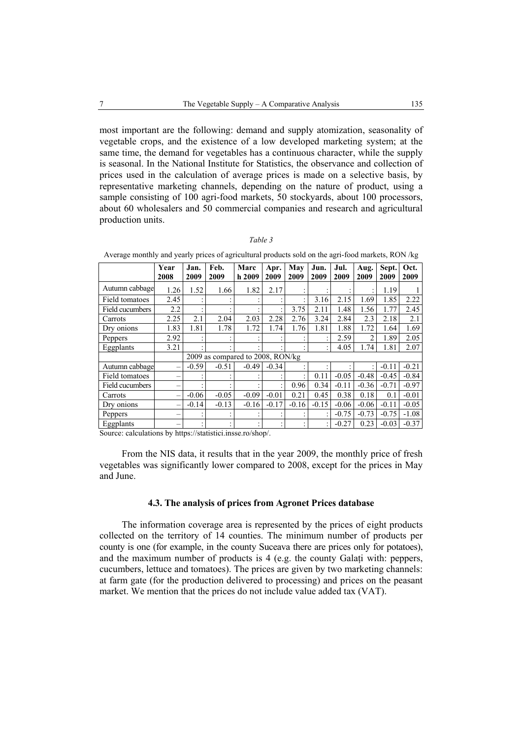most important are the following: demand and supply atomization, seasonality of vegetable crops, and the existence of a low developed marketing system; at the same time, the demand for vegetables has a continuous character, while the supply is seasonal. In the National Institute for Statistics, the observance and collection of prices used in the calculation of average prices is made on a selective basis, by representative marketing channels, depending on the nature of product, using a sample consisting of 100 agri-food markets, 50 stockyards, about 100 processors, about 60 wholesalers and 50 commercial companies and research and agricultural production units.

#### *Table 3*

Average monthly and yearly prices of agricultural products sold on the agri-food markets, RON /kg

|                                                               | Year<br>2008             | Jan.<br>2009 | Feb.<br>2009                      | Marc<br>h 2009 | Apr.<br>2009   | May<br>2009 | Jun.<br>2009 | Jul.<br>2009 | Aug.<br>2009 | Sept.<br>2009 | Oct.<br>2009 |
|---------------------------------------------------------------|--------------------------|--------------|-----------------------------------|----------------|----------------|-------------|--------------|--------------|--------------|---------------|--------------|
| Autumn cabbage                                                | 1.26                     | 1.52         | 1.66                              | 1.82           | 2.17           |             |              |              |              | 1.19          |              |
| Field tomatoes                                                | 2.45                     |              |                                   |                |                |             | 3.16         | 2.15         | 1.69         | 1.85          | 2.22         |
| Field cucumbers                                               | 2.2                      |              |                                   |                |                | 3.75        | 2.11         | 1.48         | 1.56         | 1.77          | 2.45         |
| Carrots                                                       | 2.25                     | 2.1          | 2.04                              | 2.03           | 2.28           | 2.76        | 3.24         | 2.84         | 2.3          | 2.18          | 2.1          |
| Dry onions                                                    | 1.83                     | 1.81         | 1.78                              | 1.72           | 1.74           | 1.76        | 1.81         | 1.88         | 1.72         | 1.64          | 1.69         |
| Peppers                                                       | 2.92                     |              |                                   |                |                |             |              | 2.59         | 2            | 1.89          | 2.05         |
| Eggplants                                                     | 3.21                     |              | ٠                                 |                |                |             |              | 4.05         | 1.74         | 1.81          | 2.07         |
|                                                               |                          |              | 2009 as compared to 2008, RON/kg  |                |                |             |              |              |              |               |              |
| Autumn cabbage                                                | -                        | $-0.59$      | $-0.51$                           | $-0.49$        | $-0.34$        |             |              |              |              | $-0.11$       | $-0.21$      |
| <b>Field tomatoes</b>                                         | -                        |              |                                   |                |                |             | 0.11         | $-0.05$      | $-0.48$      | $-0.45$       | $-0.84$      |
| Field cucumbers                                               | $\overline{\phantom{0}}$ |              |                                   |                |                | 0.96        | 0.34         | $-0.11$      | $-0.36$      | $-0.71$       | $-0.97$      |
| Carrots                                                       | -                        | $-0.06$      | $-0.05$                           | $-0.09$        | $-0.01$        | 0.21        | 0.45         | 0.38         | 0.18         | 0.1           | $-0.01$      |
| Dry onions                                                    | -                        | $-0.14$      | $-0.13$                           | $-0.16$        | $-0.17$        | $-0.16$     | $-0.15$      | $-0.06$      | $-0.06$      | $-0.11$       | $-0.05$      |
| Peppers                                                       | -                        |              |                                   |                |                |             |              | $-0.75$      | $-0.73$      | $-0.75$       | $-1.08$      |
| Eggplants<br>$\mathbf{1}$ $\mathbf{1}$ $\mathbf{1}$<br>$\sim$ | $\blacksquare$<br>1.1.1  |              | $\overline{u}$ and $\overline{u}$ | $\sqrt{1}$     | $\overline{1}$ |             |              | $-0.27$      | 0.23         | $-0.03$       | $-0.37$      |

Source: calculations by https://statistici.insse.ro/shop/.

From the NIS data, it results that in the year 2009, the monthly price of fresh vegetables was significantly lower compared to 2008, except for the prices in May and June.

#### **4.3. The analysis of prices from Agronet Prices database**

The information coverage area is represented by the prices of eight products collected on the territory of 14 counties. The minimum number of products per county is one (for example, in the county Suceava there are prices only for potatoes), and the maximum number of products is 4 (e.g. the county Galaţi with: peppers, cucumbers, lettuce and tomatoes). The prices are given by two marketing channels: at farm gate (for the production delivered to processing) and prices on the peasant market. We mention that the prices do not include value added tax (VAT).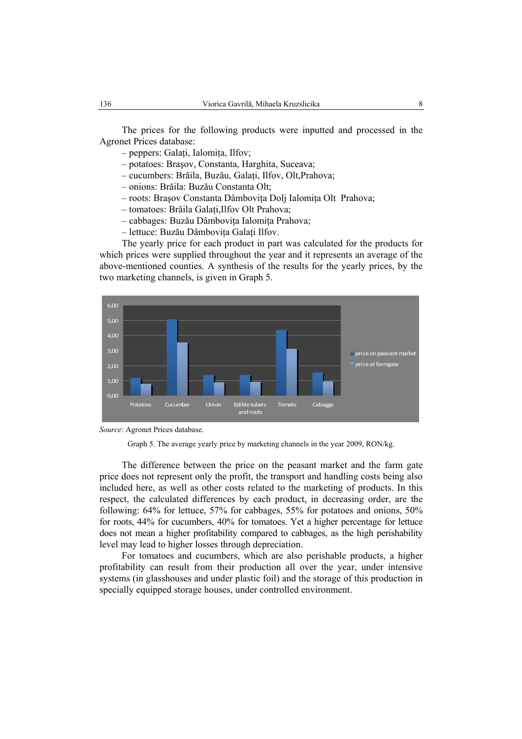The prices for the following products were inputted and processed in the Agronet Prices database:

- peppers: Galaţi, Ialomiţa, Ilfov;
- potatoes: Braşov, Constanta, Harghita, Suceava;
- cucumbers: Brăila, Buzău, Galaţi, Ilfov, Olt,Prahova;
- onions: Brăila: Buzău Constanta Olt;
- roots: Braşov Constanta Dâmboviţa Dolj Ialomiţa Olt Prahova;
- tomatoes: Brăila Galaţi,Ilfov Olt Prahova;
- cabbages: Buzău Dâmboviţa Ialomiţa Prahova;
- lettuce: Buzău Dâmboviţa Galaţi Ilfov.

The yearly price for each product in part was calculated for the products for which prices were supplied throughout the year and it represents an average of the above-mentioned counties. A synthesis of the results for the yearly prices, by the two marketing channels, is given in Graph 5.



*Source*: Agronet Prices database.

The difference between the price on the peasant market and the farm gate price does not represent only the profit, the transport and handling costs being also included here, as well as other costs related to the marketing of products. In this respect, the calculated differences by each product, in decreasing order, are the following: 64% for lettuce, 57% for cabbages, 55% for potatoes and onions, 50% for roots, 44% for cucumbers, 40% for tomatoes. Yet a higher percentage for lettuce does not mean a higher profitability compared to cabbages, as the high perishability level may lead to higher losses through depreciation.

For tomatoes and cucumbers, which are also perishable products, a higher profitability can result from their production all over the year, under intensive systems (in glasshouses and under plastic foil) and the storage of this production in specially equipped storage houses, under controlled environment.

Graph 5. The average yearly price by marketing channels in the year 2009, RON/kg.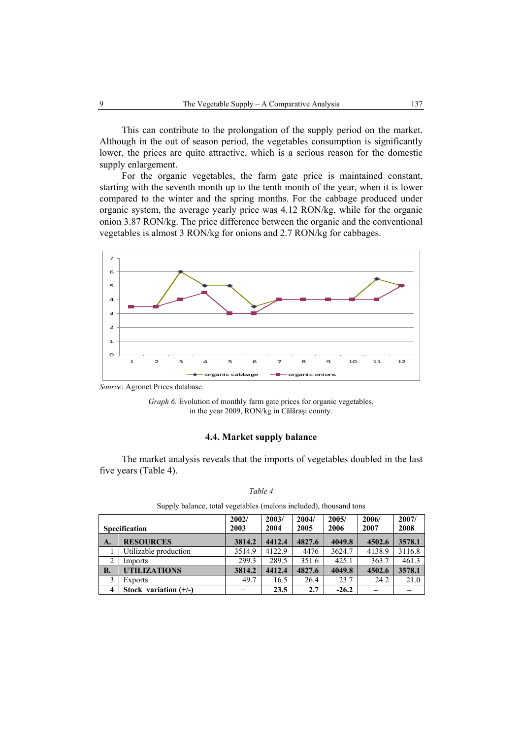This can contribute to the prolongation of the supply period on the market. Although in the out of season period, the vegetables consumption is significantly lower, the prices are quite attractive, which is a serious reason for the domestic supply enlargement.

For the organic vegetables, the farm gate price is maintained constant, starting with the seventh month up to the tenth month of the year, when it is lower compared to the winter and the spring months. For the cabbage produced under organic system, the average yearly price was 4.12 RON/kg, while for the organic onion 3.87 RON/kg. The price difference between the organic and the conventional vegetables is almost 3 RON/kg for onions and 2.7 RON/kg for cabbages.



*Source*: Agronet Prices database.

# **4.4. Market supply balance**

The market analysis reveals that the imports of vegetables doubled in the last five years (Table 4).

|                     |                         | 2002/  | 2003/  | 2004/  | 2005/   | 2006/  | 2007/  |
|---------------------|-------------------------|--------|--------|--------|---------|--------|--------|
|                     | <b>Specification</b>    | 2003   | 2004   | 2005   | 2006    | 2007   | 2008   |
| A.                  | <b>RESOURCES</b>        | 3814.2 | 4412.4 | 4827.6 | 4049.8  | 4502.6 | 3578.1 |
|                     | Utilizable production   | 3514.9 | 4122.9 | 4476   | 3624.7  | 4138.9 | 3116.8 |
| 2                   | Imports                 | 299.3  | 289.5  | 351.6  | 425.1   | 363.7  | 461.3  |
| <b>B.</b>           | <b>UTILIZATIONS</b>     | 3814.2 | 4412.4 | 4827.6 | 4049.8  | 4502.6 | 3578.1 |
| 3                   | <b>Exports</b>          | 49.7   | 16.5   | 26.4   | 23.7    | 24.2   | 21.0   |
| $\overline{\bf{4}}$ | Stock variation $(+/-)$ |        | 23.5   | 2.7    | $-26.2$ |        |        |

*Table 4*  Supply balance, total vegetables (melons included), thousand tons

*Graph 6.* Evolution of monthly farm gate prices for organic vegetables, in the year 2009, RON/kg in Călăraşi county.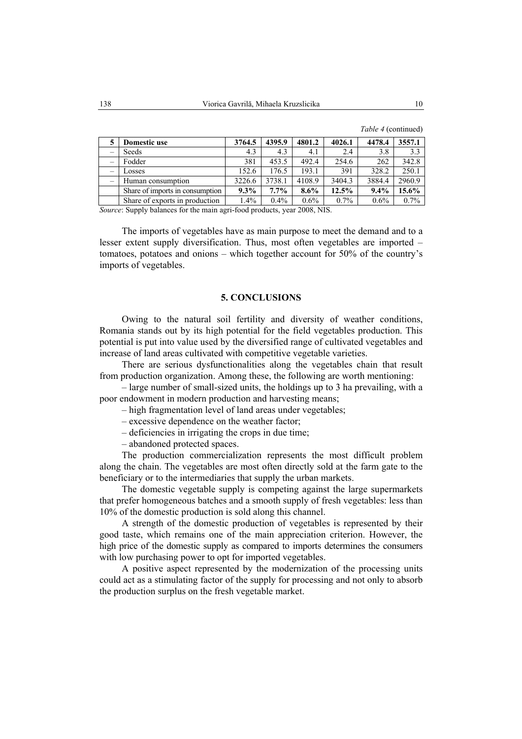| 5                        | Domestic use                    | 3764.5 | 4395.9  | 4801.2  | 4026.1  | 4478.4  | 3557.1  |
|--------------------------|---------------------------------|--------|---------|---------|---------|---------|---------|
| $\overline{\phantom{0}}$ | Seeds                           | 4.3    | 4.3     | 4.1     | 2.4     | 3.8     | 3.3     |
| $\overline{\phantom{0}}$ | Fodder                          | 381    | 453.5   | 492.4   | 254.6   | 262     | 342.8   |
| $\overline{\phantom{0}}$ | Losses                          | 152.6  | 176.5   | 193.1   | 391     | 328.2   | 250.1   |
| $\qquad \qquad -$        | Human consumption               | 3226.6 | 3738.1  | 4108.9  | 3404.3  | 3884.4  | 2960.9  |
|                          | Share of imports in consumption | 9.3%   | $7.7\%$ | $8.6\%$ | 12.5%   | 9.4%    | 15.6%   |
|                          | Share of exports in production  | 1.4%   | 0.4%    | $0.6\%$ | $0.7\%$ | $0.6\%$ | $0.7\%$ |

*Table 4* (continued)

*Source*: Supply balances for the main agri-food products, year 2008, NIS.

The imports of vegetables have as main purpose to meet the demand and to a lesser extent supply diversification. Thus, most often vegetables are imported – tomatoes, potatoes and onions – which together account for 50% of the country's imports of vegetables.

### **5. CONCLUSIONS**

Owing to the natural soil fertility and diversity of weather conditions, Romania stands out by its high potential for the field vegetables production. This potential is put into value used by the diversified range of cultivated vegetables and increase of land areas cultivated with competitive vegetable varieties.

There are serious dysfunctionalities along the vegetables chain that result from production organization. Among these, the following are worth mentioning:

– large number of small-sized units, the holdings up to 3 ha prevailing, with a poor endowment in modern production and harvesting means;

– high fragmentation level of land areas under vegetables;

– excessive dependence on the weather factor;

– deficiencies in irrigating the crops in due time;

– abandoned protected spaces.

The production commercialization represents the most difficult problem along the chain. The vegetables are most often directly sold at the farm gate to the beneficiary or to the intermediaries that supply the urban markets.

The domestic vegetable supply is competing against the large supermarkets that prefer homogeneous batches and a smooth supply of fresh vegetables: less than 10% of the domestic production is sold along this channel.

A strength of the domestic production of vegetables is represented by their good taste, which remains one of the main appreciation criterion. However, the high price of the domestic supply as compared to imports determines the consumers with low purchasing power to opt for imported vegetables.

A positive aspect represented by the modernization of the processing units could act as a stimulating factor of the supply for processing and not only to absorb the production surplus on the fresh vegetable market.